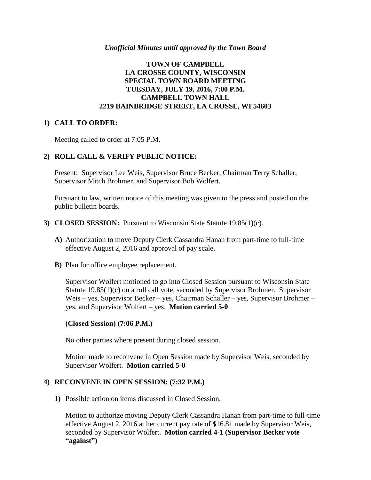#### *Unofficial Minutes until approved by the Town Board*

# **TOWN OF CAMPBELL LA CROSSE COUNTY, WISCONSIN SPECIAL TOWN BOARD MEETING TUESDAY, JULY 19, 2016, 7:00 P.M. CAMPBELL TOWN HALL 2219 BAINBRIDGE STREET, LA CROSSE, WI 54603**

## **1) CALL TO ORDER:**

Meeting called to order at 7:05 P.M.

# **2) ROLL CALL & VERIFY PUBLIC NOTICE:**

Present: Supervisor Lee Weis, Supervisor Bruce Becker, Chairman Terry Schaller, Supervisor Mitch Brohmer, and Supervisor Bob Wolfert.

Pursuant to law, written notice of this meeting was given to the press and posted on the public bulletin boards.

#### **3) CLOSED SESSION:** Pursuant to Wisconsin State Statute 19.85(1)(c).

- **A)** Authorization to move Deputy Clerk Cassandra Hanan from part-time to full-time effective August 2, 2016 and approval of pay scale.
- **B)** Plan for office employee replacement.

Supervisor Wolfert motioned to go into Closed Session pursuant to Wisconsin State Statute 19.85(1)(c) on a roll call vote, seconded by Supervisor Brohmer. Supervisor Weis – yes, Supervisor Becker – yes, Chairman Schaller – yes, Supervisor Brohmer – yes, and Supervisor Wolfert – yes. **Motion carried 5-0**

## **(Closed Session) (7:06 P.M.)**

No other parties where present during closed session.

Motion made to reconvene in Open Session made by Supervisor Weis, seconded by Supervisor Wolfert. **Motion carried 5-0**

## **4) RECONVENE IN OPEN SESSION: (7:32 P.M.)**

**1)** Possible action on items discussed in Closed Session.

Motion to authorize moving Deputy Clerk Cassandra Hanan from part-time to full-time effective August 2, 2016 at her current pay rate of \$16.81 made by Supervisor Weis, seconded by Supervisor Wolfert. **Motion carried 4-1 (Supervisor Becker vote "against")**